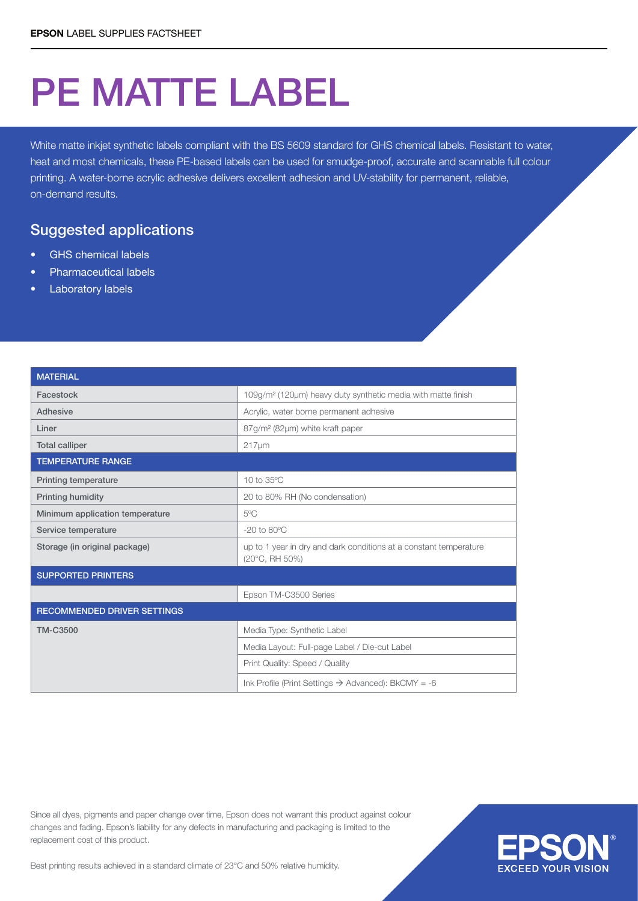## PE MATTE LABEL

White matte inkjet synthetic labels compliant with the BS 5609 standard for GHS chemical labels. Resistant to water, heat and most chemicals, these PE-based labels can be used for smudge-proof, accurate and scannable full colour printing. A water-borne acrylic adhesive delivers excellent adhesion and UV-stability for permanent, reliable, on-demand results.

## Suggested applications

- **GHS** chemical labels
- Pharmaceutical labels
- **Laboratory labels**

| <b>MATERIAL</b>                    |                                                                                     |  |  |  |  |
|------------------------------------|-------------------------------------------------------------------------------------|--|--|--|--|
| Facestock                          | 109g/m <sup>2</sup> (120µm) heavy duty synthetic media with matte finish            |  |  |  |  |
| Adhesive                           | Acrylic, water borne permanent adhesive                                             |  |  |  |  |
| Liner                              | 87g/m <sup>2</sup> (82µm) white kraft paper                                         |  |  |  |  |
| <b>Total calliper</b>              | $217 \mu m$                                                                         |  |  |  |  |
| <b>TEMPERATURE RANGE</b>           |                                                                                     |  |  |  |  |
| <b>Printing temperature</b>        | 10 to 35°C                                                                          |  |  |  |  |
| Printing humidity                  | 20 to 80% RH (No condensation)                                                      |  |  |  |  |
| Minimum application temperature    | $5^{\circ}$ C                                                                       |  |  |  |  |
| Service temperature                | $-20$ to $80^{\circ}$ C                                                             |  |  |  |  |
| Storage (in original package)      | up to 1 year in dry and dark conditions at a constant temperature<br>(20°C, RH 50%) |  |  |  |  |
| <b>SUPPORTED PRINTERS</b>          |                                                                                     |  |  |  |  |
|                                    | Epson TM-C3500 Series                                                               |  |  |  |  |
| <b>RECOMMENDED DRIVER SETTINGS</b> |                                                                                     |  |  |  |  |
| <b>TM-C3500</b>                    | Media Type: Synthetic Label                                                         |  |  |  |  |
|                                    | Media Layout: Full-page Label / Die-cut Label                                       |  |  |  |  |
|                                    | Print Quality: Speed / Quality                                                      |  |  |  |  |
|                                    | Ink Profile (Print Settings $\rightarrow$ Advanced): BkCMY = -6                     |  |  |  |  |

Since all dyes, pigments and paper change over time, Epson does not warrant this product against colour changes and fading. Epson's liability for any defects in manufacturing and packaging is limited to the replacement cost of this product.



Best printing results achieved in a standard climate of 23°C and 50% relative humidity.